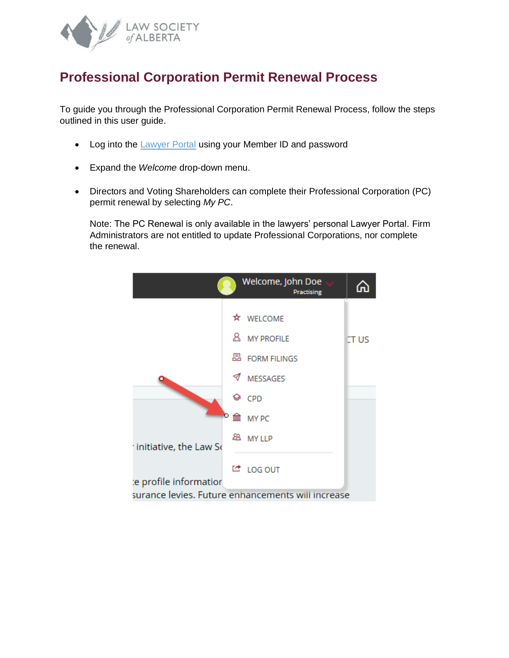

## **Professional Corporation Permit Renewal Process**

To guide you through the Professional Corporation Permit Renewal Process, follow the steps outlined in this user guide.

- Log into the [Lawyer Portal](https://lsa.memberpro.net/main/body.cfm?menu=login) using your Member ID and password
- Expand the *Welcome* drop-down menu.
- Directors and Voting Shareholders can complete their Professional Corporation (PC) permit renewal by selecting *My PC*.

Note: The PC Renewal is only available in the lawyers' personal Lawyer Portal. Firm Administrators are not entitled to update Professional Corporations, nor complete the renewal.

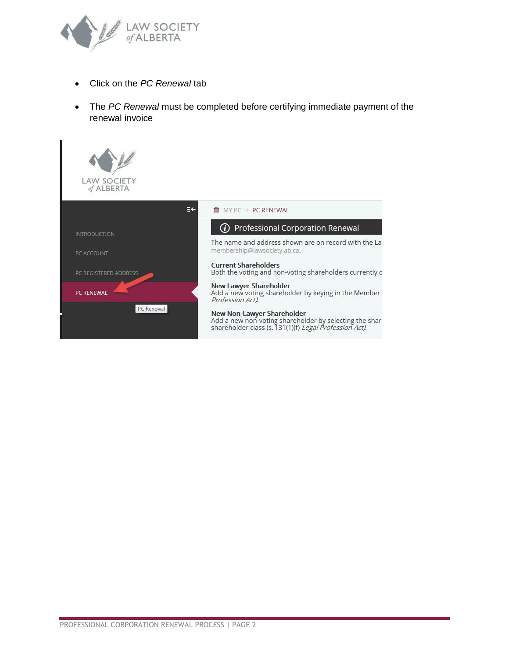

- Click on the *PC Renewal* tab
- The *PC Renewal* must be completed before certifying immediate payment of the renewal invoice

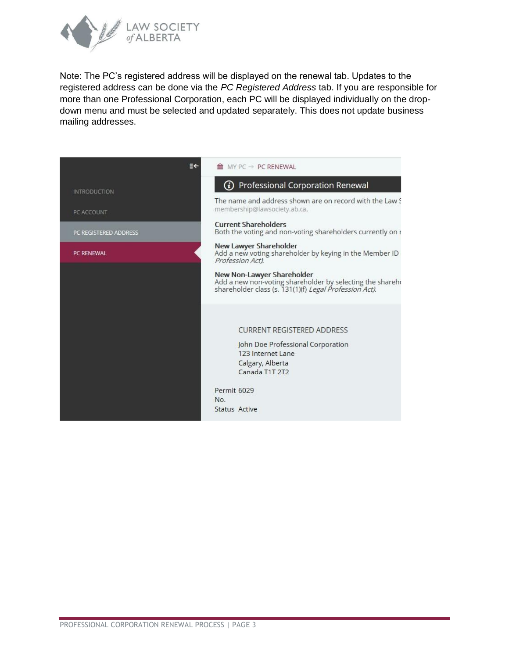

Note: The PC's registered address will be displayed on the renewal tab. Updates to the registered address can be done via the *PC Registered Address* tab. If you are responsible for more than one Professional Corporation, each PC will be displayed individually on the dropdown menu and must be selected and updated separately. This does not update business mailing addresses.

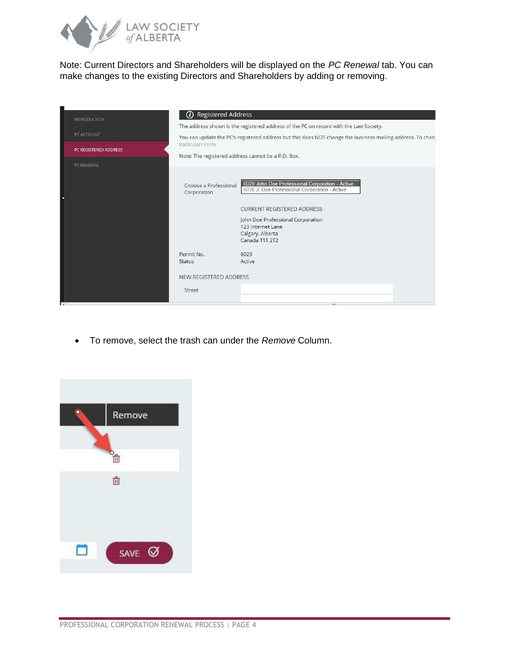

Note: Current Directors and Shareholders will be displayed on the *PC Renewal* tab. You can make changes to the existing Directors and Shareholders by adding or removing.

| <b>INTRODUCTION</b>   | <b><i>i</i></b> Registered Address   |                                                                                                                                                                                                                                       |
|-----------------------|--------------------------------------|---------------------------------------------------------------------------------------------------------------------------------------------------------------------------------------------------------------------------------------|
|                       |                                      | The address shown is the registered address of the PC on record with the Law Society.                                                                                                                                                 |
| PC ACCOUNT            |                                      | You can update the PC's registered address but this does NOT change the business mailing address. To chanj                                                                                                                            |
| PC REGISTERED ADDRESS | Particulars Form.                    |                                                                                                                                                                                                                                       |
|                       |                                      | Note: The registered address cannot be a P.O. Box.                                                                                                                                                                                    |
| PC RENEWAL            | Choose a Professional<br>Corporation | 6029 John Doe Professional Corporation - Active<br>6030 J. Doe Professional Corporation - Active<br><b>CURRENT REGISTERED ADDRESS</b><br>John Doe Professional Corporation<br>123 Internet Lane<br>Calgary, Alberta<br>Canada T1T 2T2 |
|                       | Permit No.                           | 6029                                                                                                                                                                                                                                  |
|                       | Status                               | Active                                                                                                                                                                                                                                |
|                       | NEW REGISTERED ADDRESS               |                                                                                                                                                                                                                                       |
|                       | Street                               |                                                                                                                                                                                                                                       |
| $\lambda$             |                                      | m.                                                                                                                                                                                                                                    |

• To remove, select the trash can under the *Remove* Column.

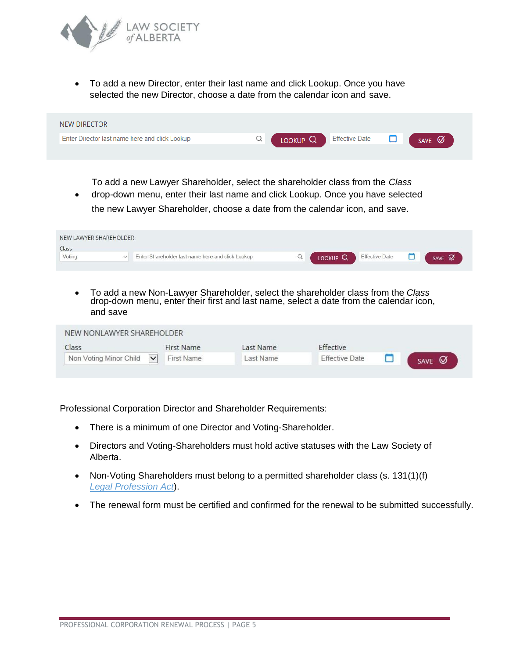

• To add a new Director, enter their last name and click Lookup. Once you have selected the new Director, choose a date from the calendar icon and save.



To add a new Lawyer Shareholder, select the shareholder class from the *Class*

• drop-down menu, enter their last name and click Lookup. Once you have selected the new Lawyer Shareholder, choose a date from the calendar icon, and save.

| NEW LAWYER SHAREHOLDER |              |                                                   |                     |                       |        |
|------------------------|--------------|---------------------------------------------------|---------------------|-----------------------|--------|
| Class                  |              |                                                   |                     |                       |        |
| Voting                 | $\checkmark$ | Enter Shareholder last name here and click Lookup | LOOKUP <sub>Q</sub> | <b>Effective Date</b> | SAVE Ø |
|                        |              |                                                   |                     |                       |        |

• To add a new Non-Lawyer Shareholder, select the shareholder class from the *Class* drop-down menu, enter their first and last name, select a date from the calendar icon, and save

| Class                  | <b>First Name</b>          | Last Name | Effective             |        |
|------------------------|----------------------------|-----------|-----------------------|--------|
| Non Voting Minor Child | $\checkmark$<br>First Name | Last Name | <b>Effective Date</b> | SAVE Ø |

Professional Corporation Director and Shareholder Requirements:

- There is a minimum of one Director and Voting-Shareholder.
- Directors and Voting-Shareholders must hold active statuses with the Law Society of Alberta.
- Non-Voting Shareholders must belong to a permitted shareholder class (s. 131(1)(f) *[Legal Profession Act](https://www.lawsociety.ab.ca/regulation/act-code-and-rules/)*).
- The renewal form must be certified and confirmed for the renewal to be submitted successfully.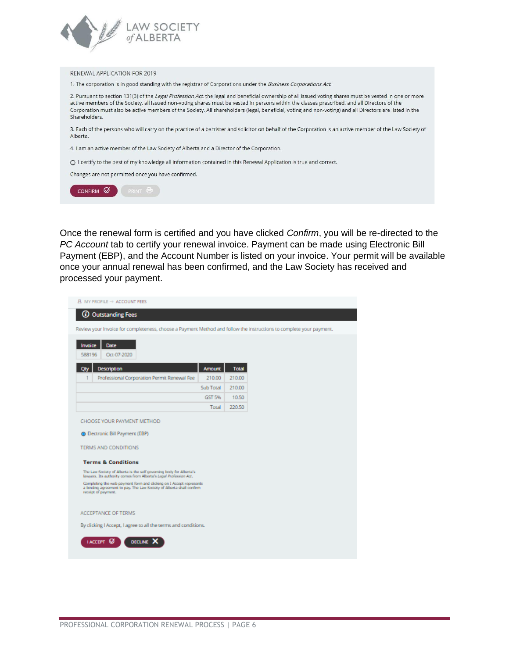

## RENEWAL APPLICATION FOR 2019

1. The corporation is in good standing with the registrar of Corporations under the Business Corporations Act.

2. Pursuant to section 131(3) of the Legal Profession Act, the legal and beneficial ownership of all issued voting shares must be vested in one or more active members of the Society, all issued non-voting shares must be vested in persons within the classes prescribed, and all Directors of the Corporation must also be active members of the Society. All shareholders (legal, beneficial, voting and non-voting) and all Directors are listed in the Shareholders.

3. Each of the persons who will carry on the practice of a barrister and solicitor on behalf of the Corporation is an active member of the Law Society of Alberta.

4. I am an active member of the Law Society of Alberta and a Director of the Corporation.

O I certify to the best of my knowledge all information contained in this Renewal Application is true and correct.

Changes are not permitted once you have confirmed.

CONFIRM Ø PRINT &

Once the renewal form is certified and you have clicked Confirm, you will be re-directed to the PC Account tab to certify your renewal invoice. Payment can be made using Electronic Bill Payment (EBP), and the Account Number is listed on your invoice. Your permit will be available once your annual renewal has been confirmed, and the Law Society has received and processed your payment.

| $\text{R}$ my profile $\rightarrow$ account fees                                                                                                                   |               |              |  |  |
|--------------------------------------------------------------------------------------------------------------------------------------------------------------------|---------------|--------------|--|--|
| <b>1</b> Outstanding Fees                                                                                                                                          |               |              |  |  |
| Review your Invoice for completeness, choose a Payment Method and follow the instructions to complete your payment.                                                |               |              |  |  |
| Invoice<br><b>Date</b><br>Oct-07-2020<br>588196                                                                                                                    |               |              |  |  |
| <b>Description</b><br>Qty                                                                                                                                          | <b>Amount</b> | <b>Total</b> |  |  |
| Professional Corporation Permit Renewal Fee<br>1                                                                                                                   | 210.00        | 210.00       |  |  |
|                                                                                                                                                                    | Sub Total     | 210.00       |  |  |
|                                                                                                                                                                    | GST 5%        | 10.50        |  |  |
|                                                                                                                                                                    | Total         | 220.50       |  |  |
| CHOOSE YOUR PAYMENT METHOD                                                                                                                                         |               |              |  |  |
| <b>C</b> Electronic Bill Payment (EBP)                                                                                                                             |               |              |  |  |
| TERMS AND CONDITIONS                                                                                                                                               |               |              |  |  |
| <b>Terms &amp; Conditions</b>                                                                                                                                      |               |              |  |  |
| The Law Society of Alberta is the self governing body for Alberta's<br>lawyers. Its authority comes from Alberta's Legal Profession Act.                           |               |              |  |  |
| Completing the web payment form and clicking on I Accept represents<br>a binding agreement to pay. The Law Society of Alberta shall confirm<br>receipt of payment. |               |              |  |  |
| <b>ACCEPTANCE OF TERMS</b>                                                                                                                                         |               |              |  |  |
| By clicking I Accept, I agree to all the terms and conditions.                                                                                                     |               |              |  |  |
| DECLINE<br><b>IACCEPT</b>                                                                                                                                          |               |              |  |  |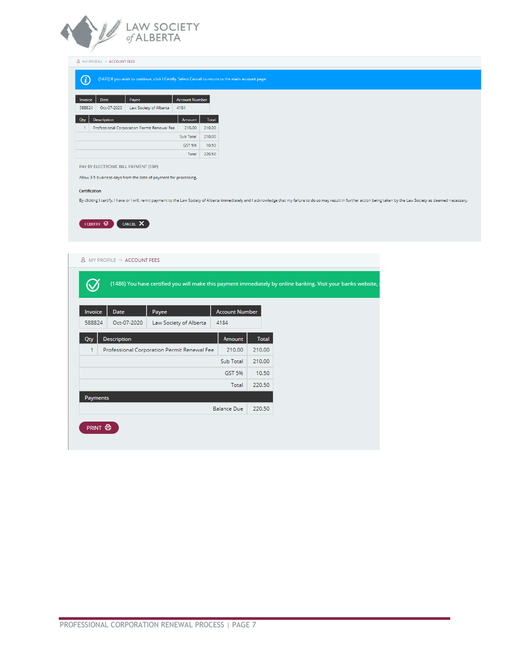

 $\underline{B}$  MY PROFILE  $\rightarrow$  ACCOUNT FEES

## (1470) If you wish to continue, click I Certify. Select Cancel to return to the main account page.

| Invoice | Date               | <b>Account Number</b>                       |                  |              |
|---------|--------------------|---------------------------------------------|------------------|--------------|
| 588824  | Oct-07-2020        | Law Society of Alberta                      | 4184             |              |
| Qty     | <b>Description</b> |                                             | Amount           | <b>Total</b> |
| 1       |                    | Professional Corporation Permit Renewal Fee | 210.00           | 210.00       |
|         |                    |                                             | <b>Sub Total</b> | 210.00       |
|         |                    |                                             | GST 5%           | 10.50        |
|         |                    |                                             | Total            | 220.50       |

PAY BY ELECTRONIC BILL PAYMENT (EBP)

Allow 3-5 business days from the date of payment for processing.

## Certification

By clicking I certify, I have or I will, remit payment to the Law Society of Alberta immediately and I acknowledge that my failure to do so may result in further action being taken by the Law Society as deemed necessary.



| Invoice<br>Date<br>Payee<br>588824<br>Oct-07-2020<br>Law Society of Alberta | <b>Account Number</b><br>4184 |              |  |
|-----------------------------------------------------------------------------|-------------------------------|--------------|--|
| <b>Description</b><br>Qty                                                   | Amount                        | <b>Total</b> |  |
| 1<br>Professional Corporation Permit Renewal Fee                            | 210.00                        | 210.00       |  |
|                                                                             | Sub Total                     | 210.00       |  |
|                                                                             | GST 5%                        | 10.50        |  |
|                                                                             | Total                         | 220.50       |  |
| Payments                                                                    |                               |              |  |
|                                                                             | <b>Balance Due</b>            | 220.50       |  |